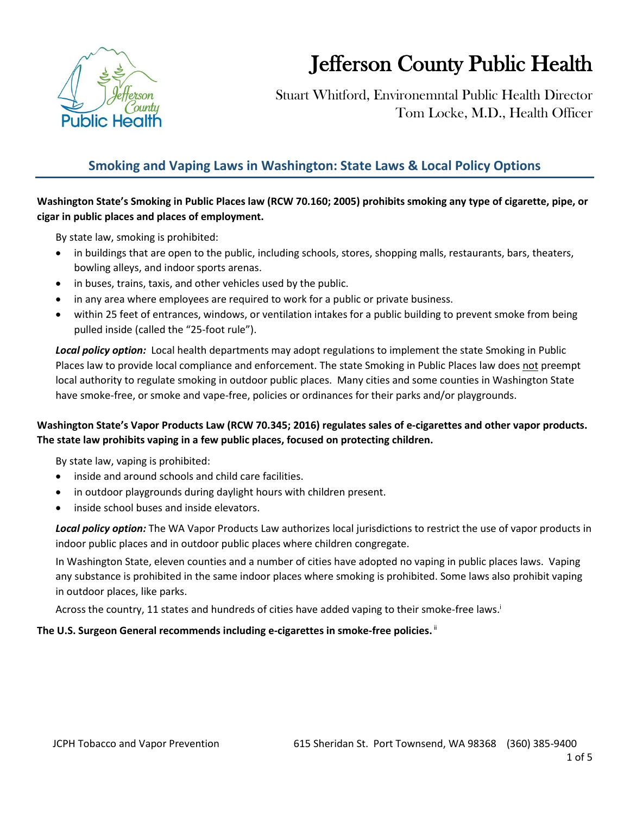

# Jefferson County Public Health

 Stuart Whitford, Environemntal Public Health Director Tom Locke, M.D., Health Officer

## **Smoking and Vaping Laws in Washington: State Laws & Local Policy Options**

#### **Washington State's Smoking in Public Places law (RCW 70.160; 2005) prohibits smoking any type of cigarette, pipe, or cigar in public places and places of employment.**

By state law, smoking is prohibited:

- in buildings that are open to the public, including schools, stores, shopping malls, restaurants, bars, theaters, bowling alleys, and indoor sports arenas.
- in buses, trains, taxis, and other vehicles used by the public.
- in any area where employees are required to work for a public or private business.
- within 25 feet of entrances, windows, or ventilation intakes for a public building to prevent smoke from being pulled inside (called the "25-foot rule").

*Local policy option:* Local health departments may adopt regulations to implement the state Smoking in Public Places law to provide local compliance and enforcement. The state Smoking in Public Places law does not preempt local authority to regulate smoking in outdoor public places. Many cities and some counties in Washington State have smoke-free, or smoke and vape-free, policies or ordinances for their parks and/or playgrounds.

#### **Washington State's Vapor Products Law (RCW 70.345; 2016) regulates sales of e-cigarettes and other vapor products. The state law prohibits vaping in a few public places, focused on protecting children.**

By state law, vaping is prohibited:

- inside and around schools and child care facilities.
- in outdoor playgrounds during daylight hours with children present.
- inside school buses and inside elevators.

*Local policy option:* The WA Vapor Products Law authorizes local jurisdictions to restrict the use of vapor products in indoor public places and in outdoor public places where children congregate.

In Washington State, eleven counties and a number of cities have adopted no vaping in public places laws. Vaping any substance is prohibited in the same indoor places where smoking is prohibited. Some laws also prohibit vaping in outdoor places, like parks.

Across the country, 11 states and hundreds of cities have added vaping to their smoke-free laws.

#### The U.S. Surgeon General recommends including e-cigarettes in smoke-free policies. <sup>ii</sup>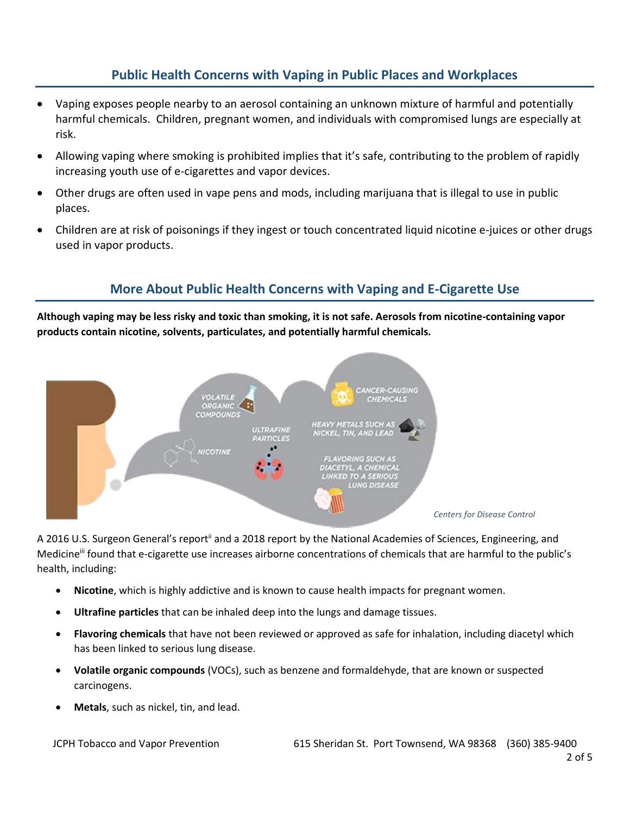## **Public Health Concerns with Vaping in Public Places and Workplaces**

- Vaping exposes people nearby to an aerosol containing an unknown mixture of harmful and potentially harmful chemicals. Children, pregnant women, and individuals with compromised lungs are especially at risk.
- Allowing vaping where smoking is prohibited implies that it's safe, contributing to the problem of rapidly increasing youth use of e-cigarettes and vapor devices.
- Other drugs are often used in vape pens and mods, including marijuana that is illegal to use in public places.
- Children are at risk of poisonings if they ingest or touch concentrated liquid nicotine e-juices or other drugs used in vapor products.

### **More About Public Health Concerns with Vaping and E-Cigarette Use**

**Although vaping may be less risky and toxic than smoking, it is not safe. Aerosols from nicotine-containing vapor products contain nicotine, solvents, particulates, and potentially harmful chemicals.** 



A 2016 U.S. Surgeon General's report<sup>ii</sup> and a 2018 report by the National Academies of Sciences, Engineering, and Medicine<sup>iii</sup> found that e-cigarette use increases airborne concentrations of chemicals that are harmful to the public's health, including:

- **Nicotine**, which is highly addictive and is known to cause health impacts for pregnant women.
- **Ultrafine particles** that can be inhaled deep into the lungs and damage tissues.
- **Flavoring chemicals** that have not been reviewed or approved as safe for inhalation, including diacetyl which has been linked to serious lung disease.
- **Volatile organic compounds** (VOCs), such as benzene and formaldehyde, that are known or suspected carcinogens.
- **Metals**, such as nickel, tin, and lead.

JCPH Tobacco and Vapor Prevention 615 Sheridan St. Port Townsend, WA 98368 (360) 385-9400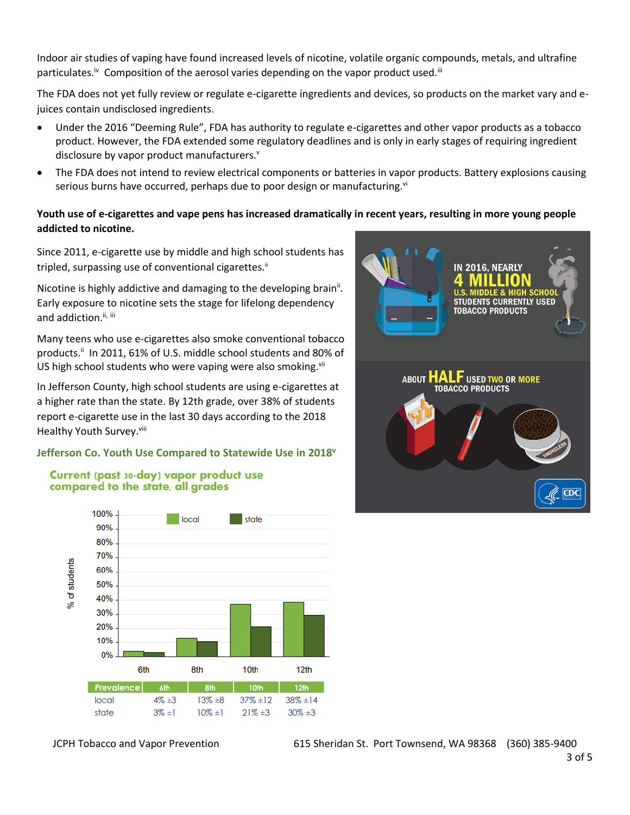Indoor air studies of vaping have found increased levels of nicotine, volatile organic compounds, metals, and ultrafine particulates.<sup>iv</sup> Composition of the aerosol varies depending on the vapor product used.<sup>ii</sup>

The FDA does not yet fully review or regulate e-cigarette ingredients and devices, so products on the market vary and ejuices contain undisclosed ingredients.

- Under the 2016 "Deeming Rule", FDA has authority to regulate e-cigarettes and other vapor products as a tobacco product. However, the FDA extended some regulatory deadlines and is only in early stages of requiring ingredient disclosure by vapor product manufacturers.<sup>v</sup>
- The FDA does not intend to review electrical components or batteries in vapor products. Battery explosions causing serious burns have occurred, perhaps due to poor design or manufacturing.<sup>vi</sup>

#### **Youth use of e-cigarettes and vape pens has increased dramatically in recent years, resulting in more young people addicted to nicotine.**

Since 2011, e-cigarette use by middle and high school students has tripled, surpassing use of conventional cigarettes.<sup>ii</sup>

Nicotine is highly addictive and damaging to the developing brain<sup>ii</sup>. Early exposure to nicotine sets the stage for lifelong dependency and addiction.<sup>ii, iii</sup>

Many teens who use e-cigarettes also smoke conventional tobacco products.<sup>ii</sup> In 2011, 61% of U.S. middle school students and 80% of US high school students who were vaping were also smoking.<sup>vii</sup>

In Jefferson County, high school students are using e-cigarettes at a higher rate than the state. By 12th grade, over 38% of students report e-cigarette use in the last 30 days according to the 2018 Healthy Youth Survey.<sup>viii</sup>

#### **Jefferson Co. Youth Use Compared to Statewide Use in 2018<sup>v</sup>**

#### Current (past 30-day) vapor product use compared to the state, all grades



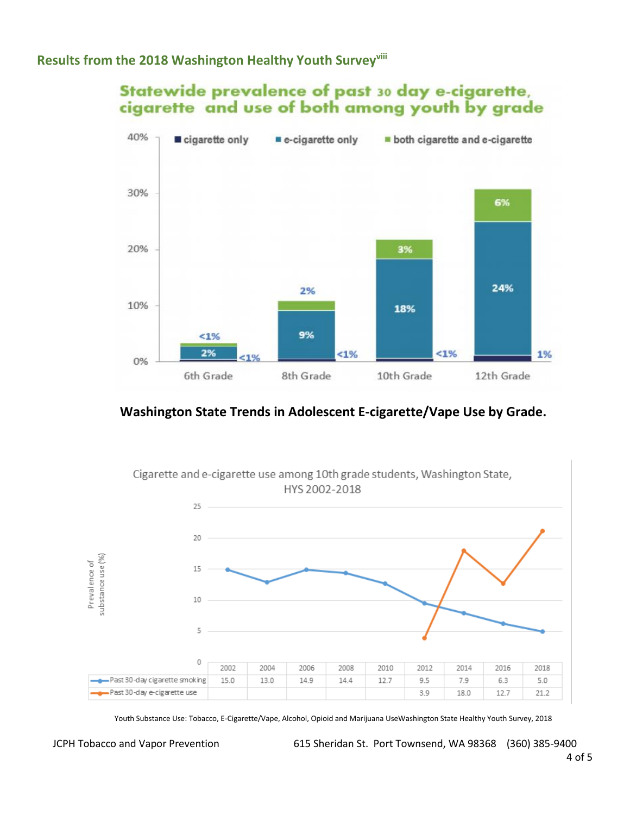## **Results from the 2018 Washington Healthy Youth Surveyviii**

## Statewide prevalence of past 30 day e-cigarette, cigarette and use of both among youth by grade



## **Washington State Trends in Adolescent E-cigarette/Vape Use by Grade.**



Youth Substance Use: Tobacco, E-Cigarette/Vape, Alcohol, Opioid and Marijuana UseWashington State Healthy Youth Survey, 2018

JCPH Tobacco and Vapor Prevention 615 Sheridan St. Port Townsend, WA 98368 (360) 385-9400